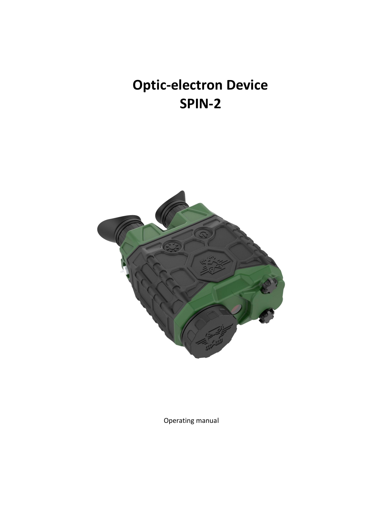# **Optic-electron Device SPIN-2**



Operating manual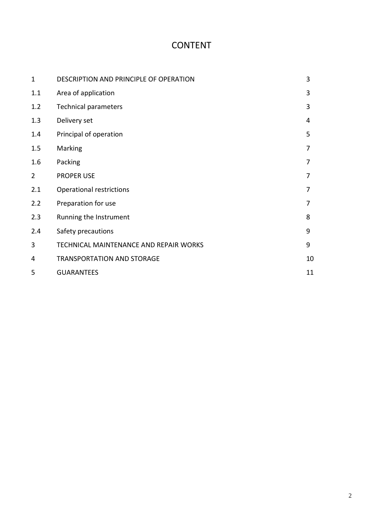# CONTENT

| $\mathbf{1}$   | DESCRIPTION AND PRINCIPLE OF OPERATION |    |
|----------------|----------------------------------------|----|
| 1.1            | Area of application                    | 3  |
| 1.2            | <b>Technical parameters</b>            | 3  |
| 1.3            | Delivery set                           | 4  |
| 1.4            | Principal of operation                 | 5  |
| 1.5            | Marking                                | 7  |
| 1.6            | Packing                                | 7  |
| $\overline{2}$ | <b>PROPER USE</b>                      | 7  |
| 2.1            | Operational restrictions               | 7  |
| 2.2            | Preparation for use                    | 7  |
| 2.3            | Running the Instrument                 | 8  |
| 2.4            | Safety precautions                     | 9  |
| 3              | TECHNICAL MAINTENANCE AND REPAIR WORKS | 9  |
| 4              | <b>TRANSPORTATION AND STORAGE</b>      | 10 |
| 5              | <b>GUARANTEES</b>                      | 11 |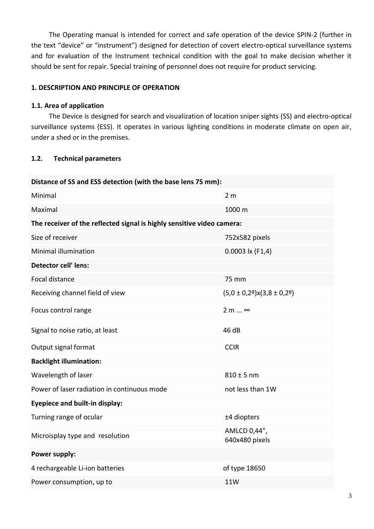The Operating manual is intended for correct and safe operation of the device SPIN-2 (further in the text "device" or "instrument") designed for detection of covert electro-optical surveillance systems and for evaluation of the Instrument technical condition with the goal to make decision whether it should be sent for repair. Special training of personnel does not require for product servicing.

#### **1. DESCRIPTION AND PRINCIPLE OF OPERATION**

#### **1.1. Area of application**

The Device is designed for search and visualization of location sniper sights (SS) and electro-optical surveillance systems (ESS). It operates in various lighting conditions in moderate climate on open air, under a shed or in the premises.

#### **1.2. Technical parameters**

| Distance of SS and ESS detection (with the base lens 75 mm):           |                                     |  |  |  |
|------------------------------------------------------------------------|-------------------------------------|--|--|--|
| Minimal                                                                | 2 <sub>m</sub>                      |  |  |  |
| Maximal                                                                | 1000 m                              |  |  |  |
| The receiver of the reflected signal is highly sensitive video camera: |                                     |  |  |  |
| Size of receiver                                                       | 752x582 pixels                      |  |  |  |
| Minimal illumination                                                   | $0.0003$ lx (F1,4)                  |  |  |  |
| <b>Detector cell' lens:</b>                                            |                                     |  |  |  |
| Focal distance                                                         | 75 mm                               |  |  |  |
| Receiving channel field of view                                        | $(5,0 \pm 0,29)$ x $(3,8 \pm 0,29)$ |  |  |  |
| Focus control range                                                    | $2 m  \approx$                      |  |  |  |
| Signal to noise ratio, at least                                        | 46 dB                               |  |  |  |
| Output signal format                                                   | <b>CCIR</b>                         |  |  |  |
| <b>Backlight illumination:</b>                                         |                                     |  |  |  |
| Wavelength of laser                                                    | $810 \pm 5$ nm                      |  |  |  |
| Power of laser radiation in continuous mode                            | not less than 1W                    |  |  |  |
| <b>Eyepiece and built-in display:</b>                                  |                                     |  |  |  |
| Turning range of ocular                                                | ±4 diopters                         |  |  |  |
| Microisplay type and resolution                                        | AMLCD 0,44",<br>640x480 pixels      |  |  |  |
| Power supply:                                                          |                                     |  |  |  |
| 4 rechargeable Li-ion batteries                                        | of type 18650                       |  |  |  |
| Power consumption, up to                                               | <b>11W</b>                          |  |  |  |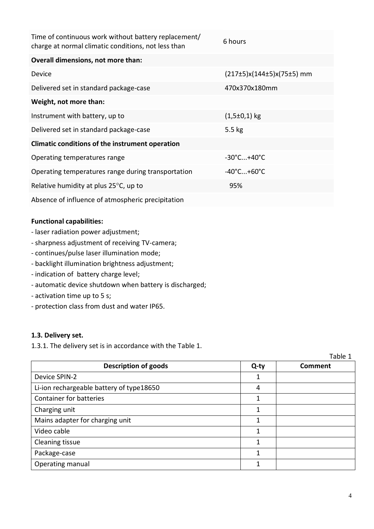| Time of continuous work without battery replacement/<br>charge at normal climatic conditions, not less than | 6 hours                         |  |  |  |
|-------------------------------------------------------------------------------------------------------------|---------------------------------|--|--|--|
| Overall dimensions, not more than:                                                                          |                                 |  |  |  |
| Device                                                                                                      | (217±5)x(144±5)x(75±5) mm       |  |  |  |
| Delivered set in standard package-case                                                                      | 470x370x180mm                   |  |  |  |
| Weight, not more than:                                                                                      |                                 |  |  |  |
| Instrument with battery, up to                                                                              | $(1,5\pm0,1)$ kg                |  |  |  |
| Delivered set in standard package-case                                                                      | $5.5$ kg                        |  |  |  |
| Climatic conditions of the instrument operation                                                             |                                 |  |  |  |
| Operating temperatures range                                                                                | $-30^{\circ}$ C $+40^{\circ}$ C |  |  |  |
| Operating temperatures range during transportation                                                          | $-40^{\circ}$ C+60 $^{\circ}$ C |  |  |  |
| Relative humidity at plus 25°C, up to                                                                       | 95%                             |  |  |  |
| Absence of influence of atmospheric precipitation                                                           |                                 |  |  |  |

#### **Functional capabilities:**

- laser radiation power adjustment;
- sharpness adjustment of receiving TV-camera;
- continues/pulse laser illumination mode;
- backlight illumination brightness adjustment;
- indication of battery charge level;
- automatic device shutdown when battery is discharged;
- activation time up to 5 s;
- protection class from dust and water IP65.

#### **1.3. Delivery set.**

1.3.1. The delivery set is in accordance with the Table 1.

|                                          |      | Table 1 |
|------------------------------------------|------|---------|
| <b>Description of goods</b>              | Q-ty | Comment |
| Device SPIN-2                            | 1    |         |
| Li-ion rechargeable battery of type18650 | 4    |         |
| Container for batteries                  | 1    |         |
| Charging unit                            | 1    |         |
| Mains adapter for charging unit          | 1    |         |
| Video cable                              | 1    |         |
| Cleaning tissue                          | 1    |         |
| Package-case                             | 1    |         |
| Operating manual                         | 1    |         |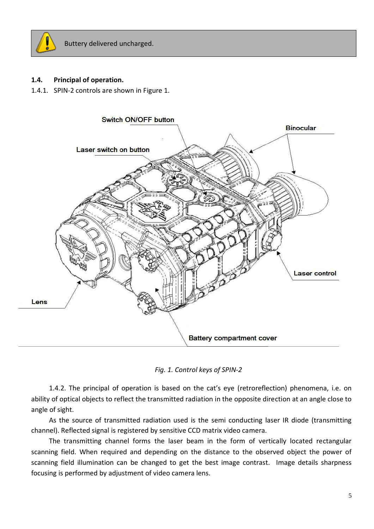

#### **1.4. Principal of operation.**

1.4.1. SPIN-2 controls are shown in Figure 1.



*Fig. 1. Control keys of SPIN-2*

1.4.2. The principal of operation is based on the cat's eye (retroreflection) phenomena, i.e. on ability of optical objects to reflect the transmitted radiation in the opposite direction at an angle close to angle of sight.

As the source of transmitted radiation used is the semi conducting laser IR diode (transmitting channel). Reflected signal is registered by sensitive CCD matrix video camera.

The transmitting channel forms the laser beam in the form of vertically located rectangular scanning field. When required and depending on the distance to the observed object the power of scanning field illumination can be changed to get the best image contrast. Image details sharpness focusing is performed by adjustment of video camera lens.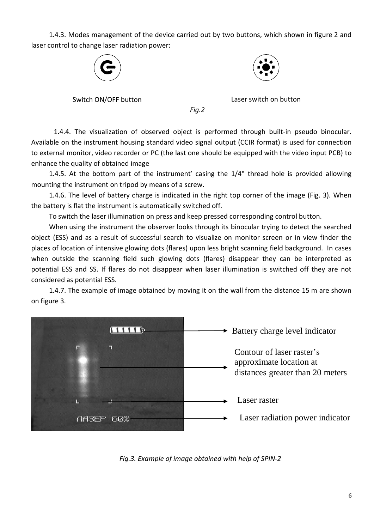1.4.3. Modes management of the device carried out by two buttons, which shown in figure 2 and laser control to change laser radiation power:





Switch ON/OFF button Laser switch on button

*Fig.2*

1.4.4. The visualization of observed object is performed through built-in pseudo binocular. Available on the instrument housing standard video signal output (CCIR format) is used for connection to external monitor, video recorder or PC (the last one should be equipped with the video input PCB) to enhance the quality of obtained image

1.4.5. At the bottom part of the instrument' casing the 1/4" thread hole is provided allowing mounting the instrument on tripod by means of a screw.

1.4.6. The level of battery charge is indicated in the right top corner of the image (Fig. 3). When the battery is flat the instrument is automatically switched off.

To switch the laser illumination on press and keep pressed corresponding control button.

When using the instrument the observer looks through its binocular trying to detect the searched object (ESS) and as a result of successful search to visualize on monitor screen or in view finder the places of location of intensive glowing dots (flares) upon less bright scanning field background. In cases when outside the scanning field such glowing dots (flares) disappear they can be interpreted as potential ESS and SS. If flares do not disappear when laser illumination is switched off they are not considered as potential ESS.

1.4.7. The example of image obtained by moving it on the wall from the distance 15 m are shown on figure 3.



*Fig.3. Example of image obtained with help of SPIN-2*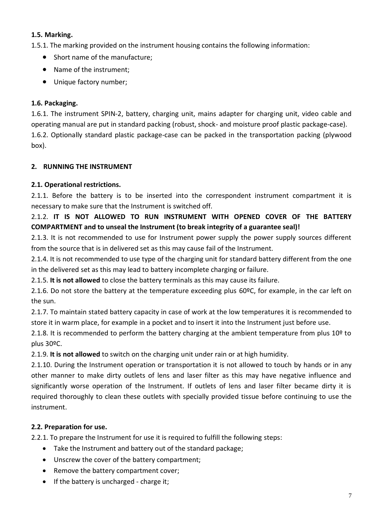# **1.5. Marking.**

1.5.1. The marking provided on the instrument housing contains the following information:

- Short name of the manufacture;
- Name of the instrument;
- Unique factory number;

# **1.6. Packaging.**

1.6.1. The instrument SPIN-2, battery, charging unit, mains adapter for charging unit, video cable and operating manual are put in standard packing (robust, shock- and moisture proof plastic package-case). 1.6.2. Optionally standard plastic package-case can be packed in the transportation packing (plywood box).

# **2. RUNNING THE INSTRUMENT**

# **2.1. Operational restrictions.**

2.1.1. Before the battery is to be inserted into the correspondent instrument compartment it is necessary to make sure that the Instrument is switched off.

# 2.1.2. **IT IS NOT ALLOWED TO RUN INSTRUMENT WITH OPENED COVER OF THE BATTERY COMPARTMENT and to unseal the Instrument (to break integrity of a guarantee seal)!**

2.1.3. It is not recommended to use for Instrument power supply the power supply sources different from the source that is in delivered set as this may cause fail of the Instrument.

2.1.4. It is not recommended to use type of the charging unit for standard battery different from the one in the delivered set as this may lead to battery incomplete charging or failure.

2.1.5. **It is not allowed** to close the battery terminals as this may cause its failure.

2.1.6. Do not store the battery at the temperature exceeding plus 60ºС, for example, in the car left on the sun.

2.1.7. To maintain stated battery capacity in case of work at the low temperatures it is recommended to store it in warm place, for example in a pocket and to insert it into the Instrument just before use.

2.1.8. It is recommended to perform the battery charging at the ambient temperature from plus 10<sup>o</sup> to plus 30ºС.

2.1.9. **It is not allowed** to switch on the charging unit under rain or at high humidity.

2.1.10. During the Instrument operation or transportation it is not allowed to touch by hands or in any other manner to make dirty outlets of lens and laser filter as this may have negative influence and significantly worse operation of the Instrument. If outlets of lens and laser filter became dirty it is required thoroughly to clean these outlets with specially provided tissue before continuing to use the instrument.

# **2.2. Preparation for use.**

2.2.1. To prepare the Instrument for use it is required to fulfill the following steps:

- Take the Instrument and battery out of the standard package;
- Unscrew the cover of the battery compartment;
- Remove the battery compartment cover;
- If the battery is uncharged charge it;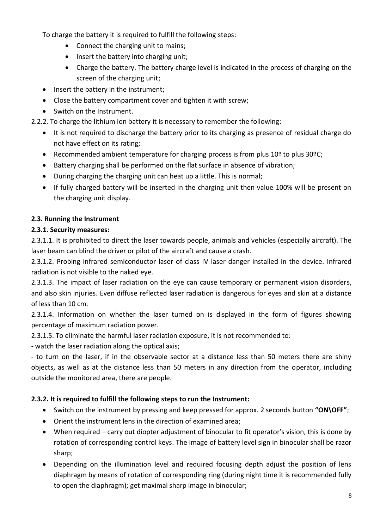To charge the battery it is required to fulfill the following steps:

- Connect the charging unit to mains;
- Insert the battery into charging unit;
- Charge the battery. The battery charge level is indicated in the process of charging on the screen of the charging unit;
- Insert the battery in the instrument;
- Close the battery compartment cover and tighten it with screw;
- Switch on the Instrument.

2.2.2. To charge the lithium ion battery it is necessary to remember the following:

- It is not required to discharge the battery prior to its charging as presence of residual charge do not have effect on its rating;
- Recommended ambient temperature for charging process is from plus 10º to plus 30ºС;
- Battery charging shall be performed on the flat surface in absence of vibration;
- During charging the charging unit can heat up a little. This is normal;
- If fully charged battery will be inserted in the charging unit then value 100% will be present on the charging unit display.

# **2.3. Running the Instrument**

# **2.3.1. Security measures:**

2.3.1.1. It is prohibited to direct the laser towards people, animals and vehicles (especially aircraft). The laser beam can blind the driver or pilot of the aircraft and cause a crash.

2.3.1.2. Probing infrared semiconductor laser of class IV laser danger installed in the device. Infrared radiation is not visible to the naked eye.

2.3.1.3. The impact of laser radiation on the eye can cause temporary or permanent vision disorders, and also skin injuries. Even diffuse reflected laser radiation is dangerous for eyes and skin at a distance of less than 10 cm.

2.3.1.4. Information on whether the laser turned on is displayed in the form of figures showing percentage of maximum radiation power.

2.3.1.5. To eliminate the harmful laser radiation exposure, it is not recommended to:

- watch the laser radiation along the optical axis;

- to turn on the laser, if in the observable sector at a distance less than 50 meters there are shiny objects, as well as at the distance less than 50 meters in any direction from the operator, including outside the monitored area, there are people.

# **2.3.2. It is required to fulfill the following steps to run the Instrument:**

- Switch on the instrument by pressing and keep pressed for approx. 2 seconds button **"ON\OFF"**;
- Orient the instrument lens in the direction of examined area;
- When required carry out diopter adjustment of binocular to fit operator's vision, this is done by rotation of corresponding control keys. The image of battery level sign in binocular shall be razor sharp;
- Depending on the illumination level and required focusing depth adjust the position of lens diaphragm by means of rotation of corresponding ring (during night time it is recommended fully to open the diaphragm); get maximal sharp image in binocular;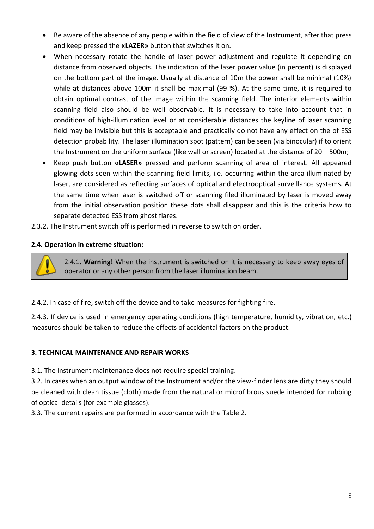- Be aware of the absence of any people within the field of view of the Instrument, after that press and keep pressed the **«LAZER»** button that switches it on.
- When necessary rotate the handle of laser power adjustment and regulate it depending on distance from observed objects. The indication of the laser power value (in percent) is displayed on the bottom part of the image. Usually at distance of 10m the power shall be minimal (10%) while at distances above 100m it shall be maximal (99 %). At the same time, it is required to obtain optimal contrast of the image within the scanning field. The interior elements within scanning field also should be well observable. It is necessary to take into account that in conditions of high-illumination level or at considerable distances the keyline of laser scanning field may be invisible but this is acceptable and practically do not have any effect on the of ESS detection probability. The laser illumination spot (pattern) can be seen (via binocular) if to orient the Instrument on the uniform surface (like wall or screen) located at the distance of 20 – 500m;
- Keep push button **«LASER»** pressed and perform scanning of area of interest. All appeared glowing dots seen within the scanning field limits, i.e. occurring within the area illuminated by laser, are considered as reflecting surfaces of optical and electrooptical surveillance systems. At the same time when laser is switched off or scanning filed illuminated by laser is moved away from the initial observation position these dots shall disappear and this is the criteria how to separate detected ESS from ghost flares.
- 2.3.2. The Instrument switch off is performed in reverse to switch on order.

# **2.4. Operation in extreme situation:**

2.4.1. **Warning!** When the instrument is switched on it is necessary to keep away eyes of operator or any other person from the laser illumination beam.

2.4.2. In case of fire, switch off the device and to take measures for fighting fire.

2.4.3. If device is used in emergency operating conditions (high temperature, humidity, vibration, etc.) measures should be taken to reduce the effects of accidental factors on the product.

#### **3. TECHNICAL MAINTENANCE AND REPAIR WORKS**

3.1. The Instrument maintenance does not require special training.

3.2. In cases when an output window of the Instrument and/or the view-finder lens are dirty they should be cleaned with clean tissue (cloth) made from the natural or microfibrous suede intended for rubbing of optical details (for example glasses).

3.3. The current repairs are performed in accordance with the Table 2.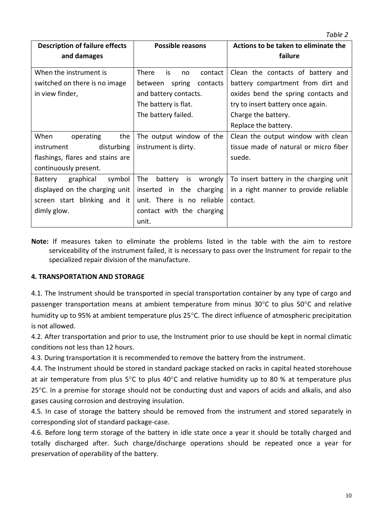| <b>Description of failure effects</b> | <b>Possible reasons</b>             | Actions to be taken to eliminate the   |  |
|---------------------------------------|-------------------------------------|----------------------------------------|--|
|                                       |                                     |                                        |  |
| and damages                           |                                     | failure                                |  |
|                                       |                                     |                                        |  |
| When the instrument is                | is<br><b>There</b><br>contact<br>no | Clean the contacts of battery and      |  |
| switched on there is no image         | spring<br>between<br>contacts       | battery compartment from dirt and      |  |
| in view finder,                       | and battery contacts.               | oxides bend the spring contacts and    |  |
|                                       | The battery is flat.                | try to insert battery once again.      |  |
|                                       | The battery failed.                 | Charge the battery.                    |  |
|                                       |                                     | Replace the battery.                   |  |
| When<br>operating<br>the              | The output window of the            | Clean the output window with clean     |  |
| disturbing<br>instrument              | instrument is dirty.                | tissue made of natural or micro fiber  |  |
| flashings, flares and stains are      |                                     | suede.                                 |  |
| continuously present.                 |                                     |                                        |  |
| graphical<br>symbol<br>Battery        | The<br>wrongly<br>battery<br>is     | To insert battery in the charging unit |  |
| displayed on the charging unit        | inserted in the<br>charging         | in a right manner to provide reliable  |  |
| screen start blinking and it          | unit. There is no reliable          | contact.                               |  |
| dimly glow.                           | contact with the charging           |                                        |  |
|                                       | unit.                               |                                        |  |

**Note:** If measures taken to eliminate the problems listed in the table with the aim to restore serviceability of the instrument failed, it is necessary to pass over the Instrument for repair to the specialized repair division of the manufacture.

#### **4. TRANSPORTATION AND STORAGE**

4.1. The Instrument should be transported in special transportation container by any type of cargo and passenger transportation means at ambient temperature from minus  $30^{\circ}$ C to plus  $50^{\circ}$ C and relative humidity up to 95% at ambient temperature plus 25°C. The direct influence of atmospheric precipitation is not allowed.

4.2. After transportation and prior to use, the Instrument prior to use should be kept in normal climatic conditions not less than 12 hours.

4.3. During transportation it is recommended to remove the battery from the instrument.

4.4. The Instrument should be stored in standard package stacked on racks in capital heated storehouse at air temperature from plus  $5^{\circ}$ C to plus 40°C and relative humidity up to 80 % at temperature plus 25°C. In a premise for storage should not be conducting dust and vapors of acids and alkalis, and also gases causing corrosion and destroying insulation.

4.5. In case of storage the battery should be removed from the instrument and stored separately in corresponding slot of standard package-case.

4.6. Before long term storage of the battery in idle state once a year it should be totally charged and totally discharged after. Such charge/discharge operations should be repeated once a year for preservation of operability of the battery.

*Table 2*